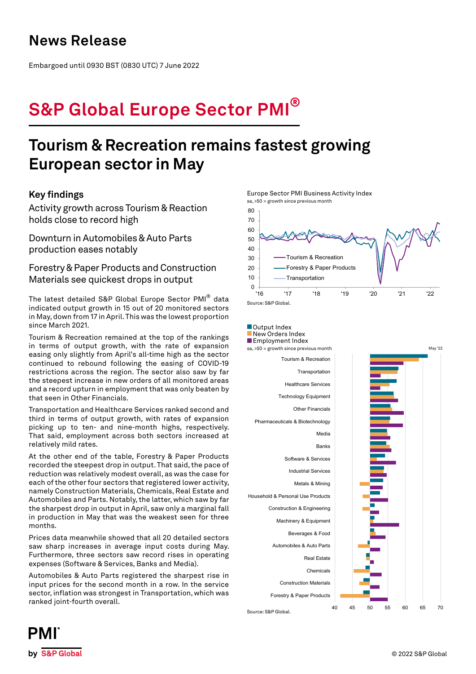## **News Release**

Embargoed until 0930 BST (0830 UTC) 7 June 2022

# **S&P Global Europe Sector PMI®**

## **Tourism & Recreation remains fastest growing European sector in May**

## **Key findings**

Activity growth across Tourism & Reaction holds close to record high

Downturn in Automobiles & Auto Parts production eases notably

Forestry & Paper Products and Construction Materials see quickest drops in output

The latest detailed S&P Global Europe Sector PMI® data indicated output growth in 15 out of 20 monitored sectors in May, down from 17 in April. This was the lowest proportion since March 2021.

Tourism & Recreation remained at the top of the rankings in terms of output growth, with the rate of expansion easing only slightly from April's all-time high as the sector continued to rebound following the easing of COVID-19 restrictions across the region. The sector also saw by far the steepest increase in new orders of all monitored areas and a record upturn in employment that was only beaten by that seen in Other Financials.

Transportation and Healthcare Services ranked second and third in terms of output growth, with rates of expansion picking up to ten- and nine-month highs, respectively. That said, employment across both sectors increased at relatively mild rates.

At the other end of the table, Forestry & Paper Products recorded the steepest drop in output. That said, the pace of reduction was relatively modest overall, as was the case for each of the other four sectors that registered lower activity, namely Construction Materials, Chemicals, Real Estate and Automobiles and Parts. Notably, the latter, which saw by far the sharpest drop in output in April, saw only a marginal fall in production in May that was the weakest seen for three months.

Prices data meanwhile showed that all 20 detailed sectors saw sharp increases in average input costs during May. Furthermore, three sectors saw record rises in operating expenses (Software & Services, Banks and Media).

Automobiles & Auto Parts registered the sharpest rise in input prices for the second month in a row. In the service sector, inflation was strongest in Transportation, which was ranked joint-fourth overall.

Europe Sector PMI Business Activity Index sa, >50 = growth since previous month





PMI by S&P Global